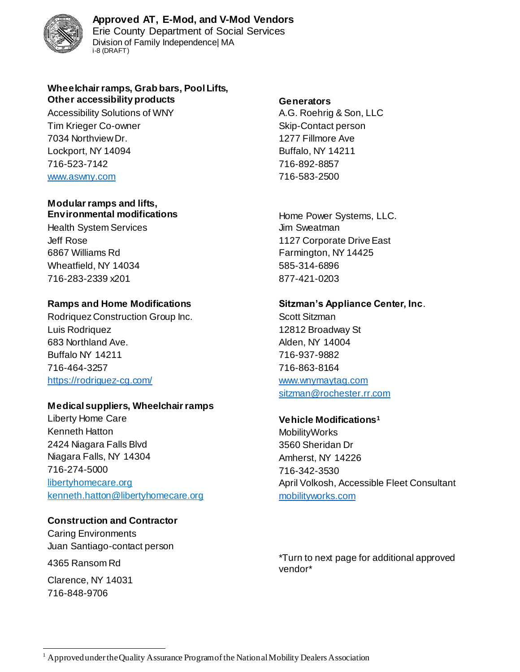

Erie County Department of Social Services Division of Family Independence| MA i-8 (DRAFT)

### **Wheelchair ramps, Grab bars, Pool Lifts, Other accessibility products Generators**

Accessibility Solutions of WNY **A.G. Roehrig & Son, LLC** Tim Krieger Co-owner Skip-Contact person 7034 Northview Dr. 1277 Fillmore Ave Lockport, NY 14094 Buffalo, NY 14211 716-523-7142 716-892-8857 [www.aswny.com](http://www.aswny.com/) 716-583-2500

### **Modular ramps and lifts, Environmental modifications Environmental modifications Home Power Systems, LLC.**

Health System Services **Alternative System Services** Jim Sweatman 6867 Williams Rd **Farmington, NY 14425** Wheatfield, NY 14034 585-314-6896 716-283-2339 x201 877-421-0203

Rodriquez Construction Group Inc. Scott Sitzman Luis Rodriquez 12812 Broadway St 683 Northland Ave. **Alden, NY 14004** Buffalo NY 14211 716-937-9882 716-464-3257 716-863-8164 <https://rodriguez-cg.com/> [www.wnymaytag.com](http://www.wnymaytag.com/)

# **Medical suppliers, Wheelchair ramps**

Liberty Home Care **Vehicle Modifications<sup>1</sup>** Kenneth Hatton **MobilityWorks** 2424 Niagara Falls Blvd 3560 Sheridan Dr Niagara Falls, NY 14304 Million Communication Amherst, NY 14226 716-274-5000 716-342-3530 kenneth.hatton@libertyhomecare.org [mobilityworks.com](https://www.mobilityworks.com/)

# **Construction and Contractor**

Caring Environments Juan Santiago-contact person

Clarence, NY 14031 716-848-9706

Jeff Rose 1127 Corporate Drive East

# **Ramps and Home Modifications Sitzman's Appliance Center, Inc**.

[sitzman@rochester.rr.com](mailto:sitzman@rochester.rr.com)

libertyhomecare.org and a state of the April Volkosh, Accessible Fleet Consultant

4365 Ransom Rd \*Turn to next page for additional approved vendor\*

l  $<sup>1</sup>$  Approved under the Quality Assurance Program of the National Mobility Dealers Association</sup>